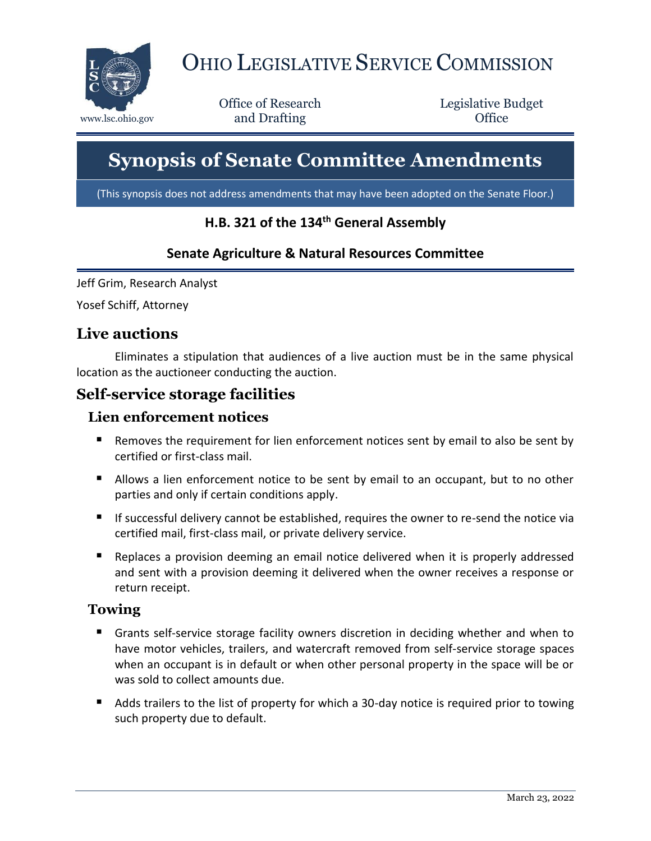

# OHIO LEGISLATIVE SERVICE COMMISSION

Office of Research www.lsc.ohio.gov **and Drafting Office** 

Legislative Budget

# **Synopsis of Senate Committee Amendments**

(This synopsis does not address amendments that may have been adopted on the Senate Floor.)

## **H.B. 321 of the 134th General Assembly**

#### **Senate Agriculture & Natural Resources Committee**

Jeff Grim, Research Analyst

Yosef Schiff, Attorney

## **Live auctions**

Eliminates a stipulation that audiences of a live auction must be in the same physical location as the auctioneer conducting the auction.

# **Self-service storage facilities**

#### **Lien enforcement notices**

- Removes the requirement for lien enforcement notices sent by email to also be sent by certified or first-class mail.
- Allows a lien enforcement notice to be sent by email to an occupant, but to no other parties and only if certain conditions apply.
- If successful delivery cannot be established, requires the owner to re-send the notice via certified mail, first-class mail, or private delivery service.
- Replaces a provision deeming an email notice delivered when it is properly addressed and sent with a provision deeming it delivered when the owner receives a response or return receipt.

#### **Towing**

- Grants self-service storage facility owners discretion in deciding whether and when to have motor vehicles, trailers, and watercraft removed from self-service storage spaces when an occupant is in default or when other personal property in the space will be or was sold to collect amounts due.
- Adds trailers to the list of property for which a 30-day notice is required prior to towing such property due to default.